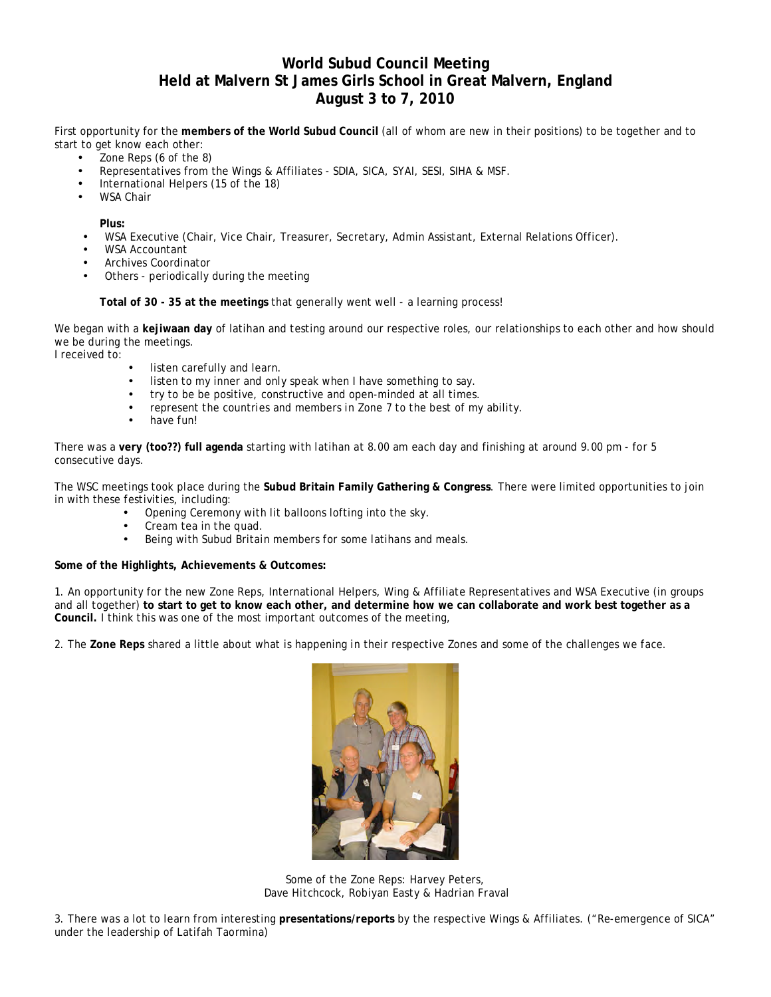## **World Subud Council Meeting Held at Malvern St James Girls School in Great Malvern, England August 3 to 7, 2010**

First opportunity for the **members of the World Subud Council** (all of whom are new in their positions) to be together and to start to get know each other:

- Zone Reps (6 of the 8)
- Representatives from the Wings & Affiliates SDIA, SICA, SYAI, SESI, SIHA & MSF.
- International Helpers (15 of the 18)
- WSA Chair

**Plus:**

- WSA Executive (Chair, Vice Chair, Treasurer, Secretary, Admin Assistant, External Relations Officer).
- WSA Accountant
- Archives Coordinator
- Others periodically during the meeting

**Total of 30 - 35 at the meetings** that generally went well - a learning process!

We began with a **kejiwaan day** of latihan and testing around our respective roles, our relationships to each other and how should we be during the meetings.

I received to:

- listen carefully and learn.
- listen to my inner and only speak when I have something to say.
- try to be be positive, constructive and open-minded at all times.
- represent the countries and members in Zone 7 to the best of my ability.
- have fun!

There was a **very (too??) full agenda** starting with latihan at 8.00 am each day and finishing at around 9.00 pm - for 5 consecutive days.

The WSC meetings took place during the **Subud Britain Family Gathering & Congress**. There were limited opportunities to join in with these festivities, including:

- Opening Ceremony with lit balloons lofting into the sky.
- Cream tea in the quad.<br>• Being with Subud Britai
- Being with Subud Britain members for some latihans and meals.

**Some of the Highlights, Achievements & Outcomes:** 

1. An opportunity for the new Zone Reps, International Helpers, Wing & Affiliate Representatives and WSA Executive (in groups and all together) **to start to get to know each other, and determine how we can collaborate and work best together as a Council.** I think this was one of the most important outcomes of the meeting,

2. The **Zone Reps** shared a little about what is happening in their respective Zones and some of the challenges we face.



*Some of the Zone Reps: Harvey Peters, Dave Hitchcock, Robiyan Easty & Hadrian Fraval*

3. There was a lot to learn from interesting **presentations/reports** by the respective Wings & Affiliates. ("Re-emergence of SICA" under the leadership of Latifah Taormina)